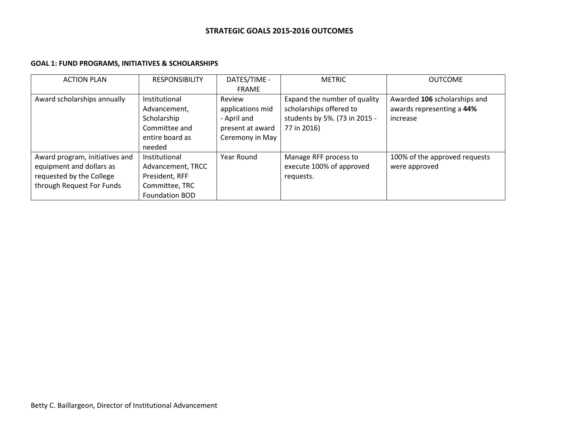# **GOAL 1: FUND PROGRAMS, INITIATIVES & SCHOLARSHIPS**

| <b>ACTION PLAN</b>                                                                                                  | <b>RESPONSIBILITY</b>                                                                                     | DATES/TIME -                                                                     | <b>METRIC</b>                                                                                           | <b>OUTCOME</b>                                                        |
|---------------------------------------------------------------------------------------------------------------------|-----------------------------------------------------------------------------------------------------------|----------------------------------------------------------------------------------|---------------------------------------------------------------------------------------------------------|-----------------------------------------------------------------------|
|                                                                                                                     |                                                                                                           | <b>FRAME</b>                                                                     |                                                                                                         |                                                                       |
| Award scholarships annually                                                                                         | Institutional<br>Advancement,<br>Scholarship<br>Committee and<br>entire board as                          | Review<br>applications mid<br>- April and<br>present at award<br>Ceremony in May | Expand the number of quality<br>scholarships offered to<br>students by 5%. (73 in 2015 -<br>77 in 2016) | Awarded 106 scholarships and<br>awards representing a 44%<br>increase |
| Award program, initiatives and<br>equipment and dollars as<br>requested by the College<br>through Request For Funds | needed<br>Institutional<br>Advancement, TRCC<br>President, RFF<br>Committee, TRC<br><b>Foundation BOD</b> | Year Round                                                                       | Manage RFF process to<br>execute 100% of approved<br>requests.                                          | 100% of the approved requests<br>were approved                        |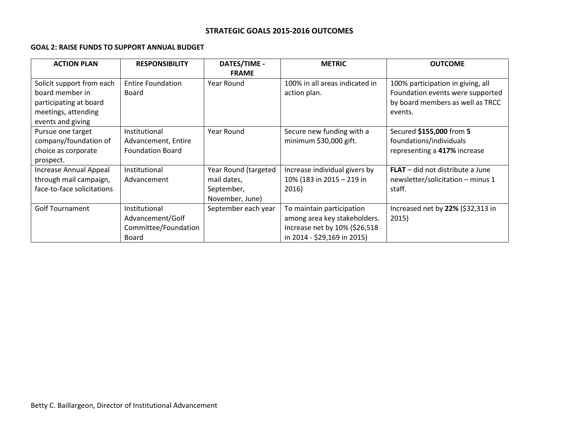## **GOAL 2: RAISE FUNDS TO SUPPORT ANNUAL BUDGET**

| <b>ACTION PLAN</b>         | <b>RESPONSIBILITY</b>    | <b>DATES/TIME -</b>  | <b>METRIC</b>                  | <b>OUTCOME</b>                     |
|----------------------------|--------------------------|----------------------|--------------------------------|------------------------------------|
|                            |                          | <b>FRAME</b>         |                                |                                    |
| Solicit support from each  | <b>Entire Foundation</b> | Year Round           | 100% in all areas indicated in | 100% participation in giving, all  |
| board member in            | Board                    |                      | action plan.                   | Foundation events were supported   |
| participating at board     |                          |                      |                                | by board members as well as TRCC   |
| meetings, attending        |                          |                      |                                | events.                            |
| events and giving          |                          |                      |                                |                                    |
| Pursue one target          | Institutional            | Year Round           | Secure new funding with a      | Secured \$155,000 from 5           |
| company/foundation of      | Advancement, Entire      |                      | minimum \$30,000 gift.         | foundations/individuals            |
| choice as corporate        | <b>Foundation Board</b>  |                      |                                | representing a 417% increase       |
| prospect.                  |                          |                      |                                |                                    |
| Increase Annual Appeal     | Institutional            | Year Round (targeted | Increase individual givers by  | $FLAT - did not distribute a June$ |
| through mail campaign,     | Advancement              | mail dates,          | 10% (183 in 2015 - 219 in      | newsletter/solicitation - minus 1  |
| face-to-face solicitations |                          | September,           | 2016)                          | staff.                             |
|                            |                          | November, June)      |                                |                                    |
| <b>Golf Tournament</b>     | Institutional            | September each year  | To maintain participation      | Increased net by 22% (\$32,313 in  |
|                            | Advancement/Golf         |                      | among area key stakeholders.   | 2015)                              |
|                            | Committee/Foundation     |                      | Increase net by 10% (\$26,518  |                                    |
|                            | Board                    |                      | in 2014 - \$29,169 in 2015)    |                                    |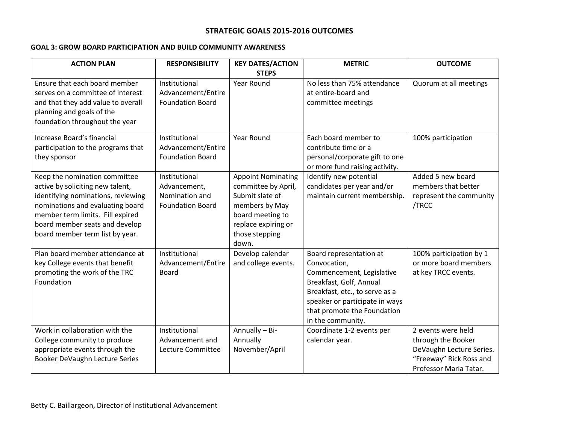## **GOAL 3: GROW BOARD PARTICIPATION AND BUILD COMMUNITY AWARENESS**

| <b>ACTION PLAN</b>                                                                                                                                                                                                                                   | <b>RESPONSIBILITY</b>                                                      | <b>KEY DATES/ACTION</b>                                                                                                                                     | <b>METRIC</b>                                                                                                                                                                                                           | <b>OUTCOME</b>                                                                                                            |
|------------------------------------------------------------------------------------------------------------------------------------------------------------------------------------------------------------------------------------------------------|----------------------------------------------------------------------------|-------------------------------------------------------------------------------------------------------------------------------------------------------------|-------------------------------------------------------------------------------------------------------------------------------------------------------------------------------------------------------------------------|---------------------------------------------------------------------------------------------------------------------------|
|                                                                                                                                                                                                                                                      |                                                                            | <b>STEPS</b>                                                                                                                                                |                                                                                                                                                                                                                         |                                                                                                                           |
| Ensure that each board member<br>serves on a committee of interest<br>and that they add value to overall<br>planning and goals of the<br>foundation throughout the year                                                                              | Institutional<br>Advancement/Entire<br><b>Foundation Board</b>             | <b>Year Round</b>                                                                                                                                           | No less than 75% attendance<br>at entire-board and<br>committee meetings                                                                                                                                                | Quorum at all meetings                                                                                                    |
| Increase Board's financial<br>participation to the programs that<br>they sponsor                                                                                                                                                                     | Institutional<br>Advancement/Entire<br><b>Foundation Board</b>             | Year Round                                                                                                                                                  | Each board member to<br>contribute time or a<br>personal/corporate gift to one<br>or more fund raising activity.                                                                                                        | 100% participation                                                                                                        |
| Keep the nomination committee<br>active by soliciting new talent,<br>identifying nominations, reviewing<br>nominations and evaluating board<br>member term limits. Fill expired<br>board member seats and develop<br>board member term list by year. | Institutional<br>Advancement,<br>Nomination and<br><b>Foundation Board</b> | <b>Appoint Nominating</b><br>committee by April,<br>Submit slate of<br>members by May<br>board meeting to<br>replace expiring or<br>those stepping<br>down. | Identify new potential<br>candidates per year and/or<br>maintain current membership.                                                                                                                                    | Added 5 new board<br>members that better<br>represent the community<br>/TRCC                                              |
| Plan board member attendance at<br>key College events that benefit<br>promoting the work of the TRC<br>Foundation                                                                                                                                    | Institutional<br>Advancement/Entire<br><b>Board</b>                        | Develop calendar<br>and college events.                                                                                                                     | Board representation at<br>Convocation,<br>Commencement, Legislative<br>Breakfast, Golf, Annual<br>Breakfast, etc., to serve as a<br>speaker or participate in ways<br>that promote the Foundation<br>in the community. | 100% participation by 1<br>or more board members<br>at key TRCC events.                                                   |
| Work in collaboration with the<br>College community to produce<br>appropriate events through the<br>Booker DeVaughn Lecture Series                                                                                                                   | Institutional<br>Advancement and<br>Lecture Committee                      | Annually - Bi-<br>Annually<br>November/April                                                                                                                | Coordinate 1-2 events per<br>calendar year.                                                                                                                                                                             | 2 events were held<br>through the Booker<br>DeVaughn Lecture Series.<br>"Freeway" Rick Ross and<br>Professor Maria Tatar. |